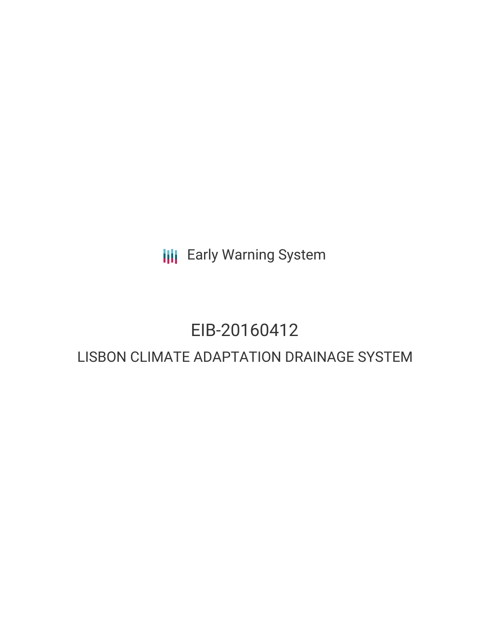**III** Early Warning System

# EIB-20160412

# LISBON CLIMATE ADAPTATION DRAINAGE SYSTEM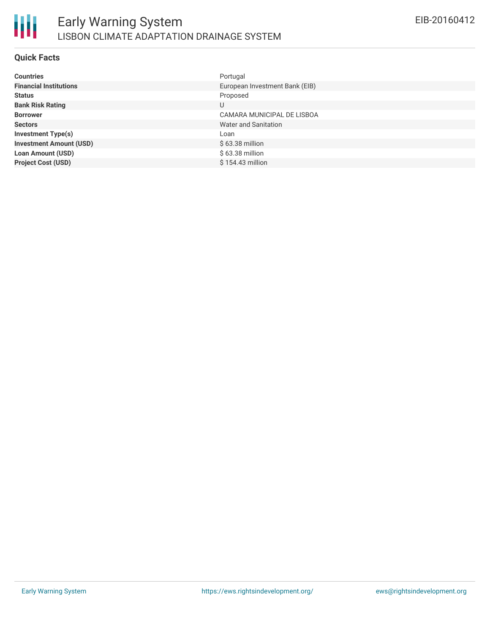

#### **Quick Facts**

| <b>Countries</b>               | Portugal                       |
|--------------------------------|--------------------------------|
| <b>Financial Institutions</b>  | European Investment Bank (EIB) |
| <b>Status</b>                  | Proposed                       |
| <b>Bank Risk Rating</b>        | U                              |
| <b>Borrower</b>                | CAMARA MUNICIPAL DE LISBOA     |
| <b>Sectors</b>                 | Water and Sanitation           |
| <b>Investment Type(s)</b>      | Loan                           |
| <b>Investment Amount (USD)</b> | $$63.38$ million               |
| <b>Loan Amount (USD)</b>       | $$63.38$ million               |
| <b>Project Cost (USD)</b>      | $$154.43$ million              |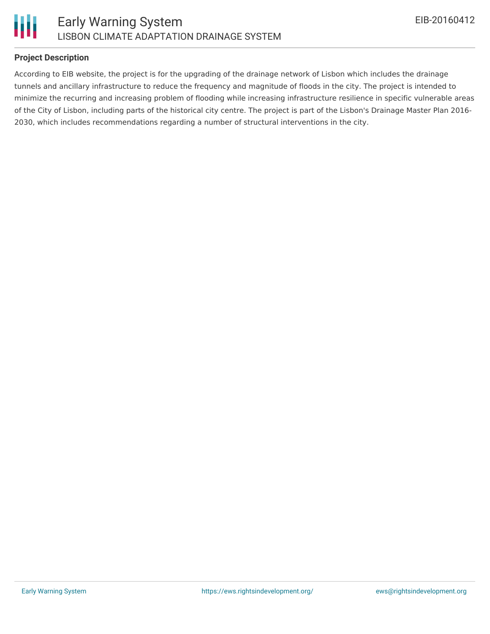

# **Project Description**

According to EIB website, the project is for the upgrading of the drainage network of Lisbon which includes the drainage tunnels and ancillary infrastructure to reduce the frequency and magnitude of floods in the city. The project is intended to minimize the recurring and increasing problem of flooding while increasing infrastructure resilience in specific vulnerable areas of the City of Lisbon, including parts of the historical city centre. The project is part of the Lisbon's Drainage Master Plan 2016- 2030, which includes recommendations regarding a number of structural interventions in the city.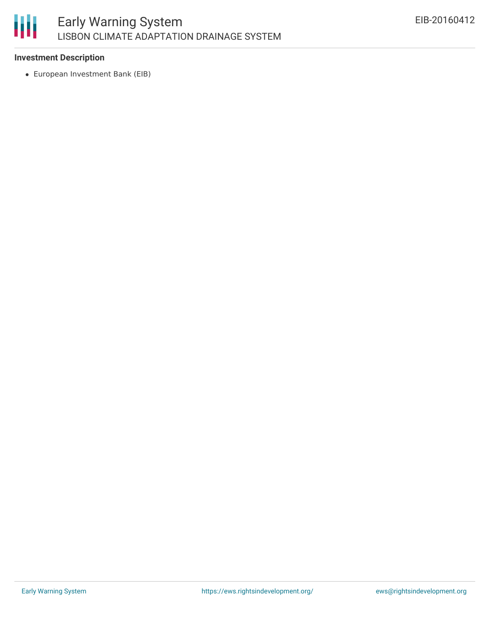

#### **Investment Description**

European Investment Bank (EIB)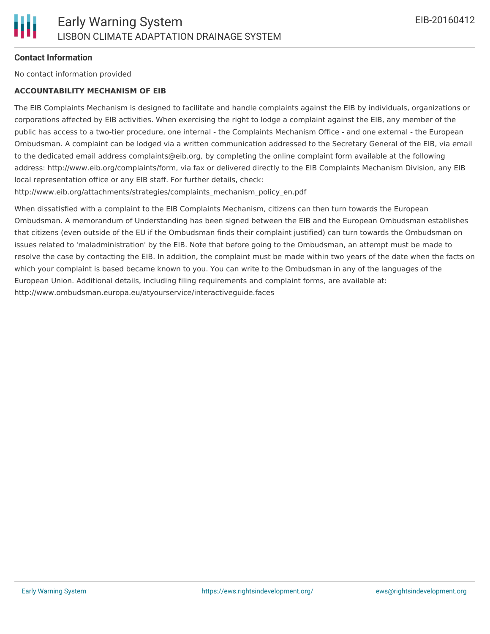# **Contact Information**

No contact information provided

#### **ACCOUNTABILITY MECHANISM OF EIB**

The EIB Complaints Mechanism is designed to facilitate and handle complaints against the EIB by individuals, organizations or corporations affected by EIB activities. When exercising the right to lodge a complaint against the EIB, any member of the public has access to a two-tier procedure, one internal - the Complaints Mechanism Office - and one external - the European Ombudsman. A complaint can be lodged via a written communication addressed to the Secretary General of the EIB, via email to the dedicated email address complaints@eib.org, by completing the online complaint form available at the following address: http://www.eib.org/complaints/form, via fax or delivered directly to the EIB Complaints Mechanism Division, any EIB local representation office or any EIB staff. For further details, check:

http://www.eib.org/attachments/strategies/complaints\_mechanism\_policy\_en.pdf

When dissatisfied with a complaint to the EIB Complaints Mechanism, citizens can then turn towards the European Ombudsman. A memorandum of Understanding has been signed between the EIB and the European Ombudsman establishes that citizens (even outside of the EU if the Ombudsman finds their complaint justified) can turn towards the Ombudsman on issues related to 'maladministration' by the EIB. Note that before going to the Ombudsman, an attempt must be made to resolve the case by contacting the EIB. In addition, the complaint must be made within two years of the date when the facts on which your complaint is based became known to you. You can write to the Ombudsman in any of the languages of the European Union. Additional details, including filing requirements and complaint forms, are available at: http://www.ombudsman.europa.eu/atyourservice/interactiveguide.faces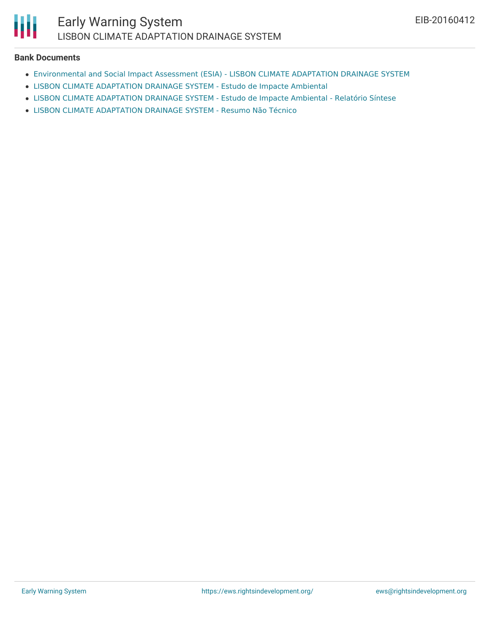

#### **Bank Documents**

- [Environmental](http://www.eib.org/attachments/registers/85117989.pdf) and Social Impact Assessment (ESIA) LISBON CLIMATE ADAPTATION DRAINAGE SYSTEM
- LISBON CLIMATE [ADAPTATION](http://www.eib.org/attachments/registers/85118821.pdf) DRAINAGE SYSTEM Estudo de Impacte Ambiental
- LISBON CLIMATE [ADAPTATION](http://www.eib.org/attachments/registers/85116557.pdf) DRAINAGE SYSTEM Estudo de Impacte Ambiental Relatório Síntese
- LISBON CLIMATE [ADAPTATION](http://www.eib.org/attachments/registers/85116556.pdf) DRAINAGE SYSTEM Resumo Não Técnico